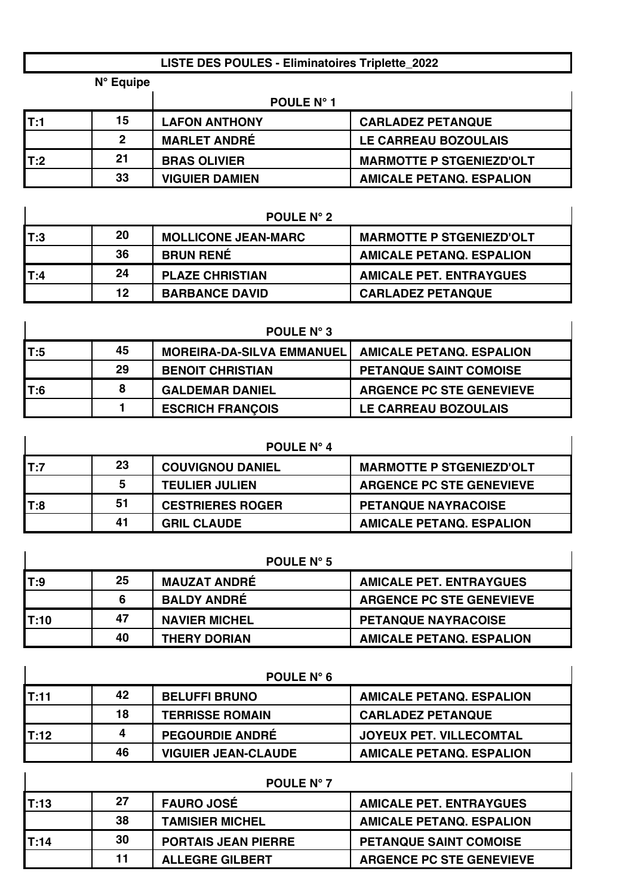## **LISTE DES POULES - Eliminatoires Triplette\_2022**

|     | $N^{\circ}$ Equipe |                       |                                 |
|-----|--------------------|-----------------------|---------------------------------|
|     |                    | POULE N° 1            |                                 |
| T:1 | 15                 | <b>LAFON ANTHONY</b>  | <b>CARLADEZ PETANQUE</b>        |
|     | 2                  | <b>MARLET ANDRÉ</b>   | LE CARREAU BOZOULAIS            |
| T:2 | 21                 | <b>BRAS OLIVIER</b>   | <b>MARMOTTE P STGENIEZD'OLT</b> |
|     | 33                 | <b>VIGUIER DAMIEN</b> | <b>AMICALE PETANQ. ESPALION</b> |

| <b>POULE N° 2</b> |         |                            |                                 |
|-------------------|---------|----------------------------|---------------------------------|
| IT:3              | 20      | <b>MOLLICONE JEAN-MARC</b> | <b>MARMOTTE P STGENIEZD'OLT</b> |
|                   | 36      | <b>BRUN RENÉ</b>           | <b>AMICALE PETANQ. ESPALION</b> |
| IT:4              | 24      | <b>PLAZE CHRISTIAN</b>     | <b>AMICALE PET. ENTRAYGUES</b>  |
|                   | $12 \,$ | <b>BARBANCE DAVID</b>      | <b>CARLADEZ PETANQUE</b>        |

|     | <b>POULE N° 3</b> |                                  |                                 |  |
|-----|-------------------|----------------------------------|---------------------------------|--|
| T:5 | 45                | <b>MOREIRA-DA-SILVA EMMANUEL</b> | <b>AMICALE PETANQ. ESPALION</b> |  |
|     | 29                | <b>BENOIT CHRISTIAN</b>          | <b>PETANQUE SAINT COMOISE</b>   |  |
| T:6 | 8                 | <b>GALDEMAR DANIEL</b>           | <b>ARGENCE PC STE GENEVIEVE</b> |  |
|     |                   | <b>ESCRICH FRANÇOIS</b>          | LE CARREAU BOZOULAIS            |  |

|     | <b>POULE N° 4</b> |                         |                                 |  |
|-----|-------------------|-------------------------|---------------------------------|--|
| T:7 | 23                | <b>COUVIGNOU DANIEL</b> | <b>MARMOTTE P STGENIEZD'OLT</b> |  |
|     | 5.                | <b>TEULIER JULIEN</b>   | <b>ARGENCE PC STE GENEVIEVE</b> |  |
| T:8 | 51                | <b>CESTRIERES ROGER</b> | <b>PETANQUE NAYRACOISE</b>      |  |
|     | 41                | <b>GRIL CLAUDE</b>      | <b>AMICALE PETANQ. ESPALION</b> |  |

|       | <b>POULE N° 5</b> |                      |                                 |  |  |
|-------|-------------------|----------------------|---------------------------------|--|--|
| T:9   | 25                | <b>MAUZAT ANDRÉ</b>  | <b>AMICALE PET. ENTRAYGUES</b>  |  |  |
|       | 6                 | <b>BALDY ANDRÉ</b>   | <b>ARGENCE PC STE GENEVIEVE</b> |  |  |
| IT:10 | 47                | <b>NAVIER MICHEL</b> | <b>PETANQUE NAYRACOISE</b>      |  |  |
|       | 40                | <b>THERY DORIAN</b>  | <b>AMICALE PETANQ. ESPALION</b> |  |  |

|          |    | POULE N° 6                 |                                 |
|----------|----|----------------------------|---------------------------------|
| IT:11    | 42 | <b>BELUFFI BRUNO</b>       | <b>AMICALE PETANQ. ESPALION</b> |
|          | 18 | <b>TERRISSE ROMAIN</b>     | <b>CARLADEZ PETANQUE</b>        |
| $I$ T:12 | 4  | <b>PEGOURDIE ANDRÉ</b>     | <b>JOYEUX PET. VILLECOMTAL</b>  |
|          | 46 | <b>VIGUIER JEAN-CLAUDE</b> | <b>AMICALE PETANQ. ESPALION</b> |

| <b>POULE N° 7</b> |    |                            |                                 |  |
|-------------------|----|----------------------------|---------------------------------|--|
| T:13              | 27 | <b>FAURO JOSÉ</b>          | <b>AMICALE PET. ENTRAYGUES</b>  |  |
|                   | 38 | <b>TAMISIER MICHEL</b>     | <b>AMICALE PETANQ. ESPALION</b> |  |
| IT:14             | 30 | <b>PORTAIS JEAN PIERRE</b> | <b>PETANQUE SAINT COMOISE</b>   |  |
|                   | 11 | <b>ALLEGRE GILBERT</b>     | <b>ARGENCE PC STE GENEVIEVE</b> |  |

 $\overline{1}$